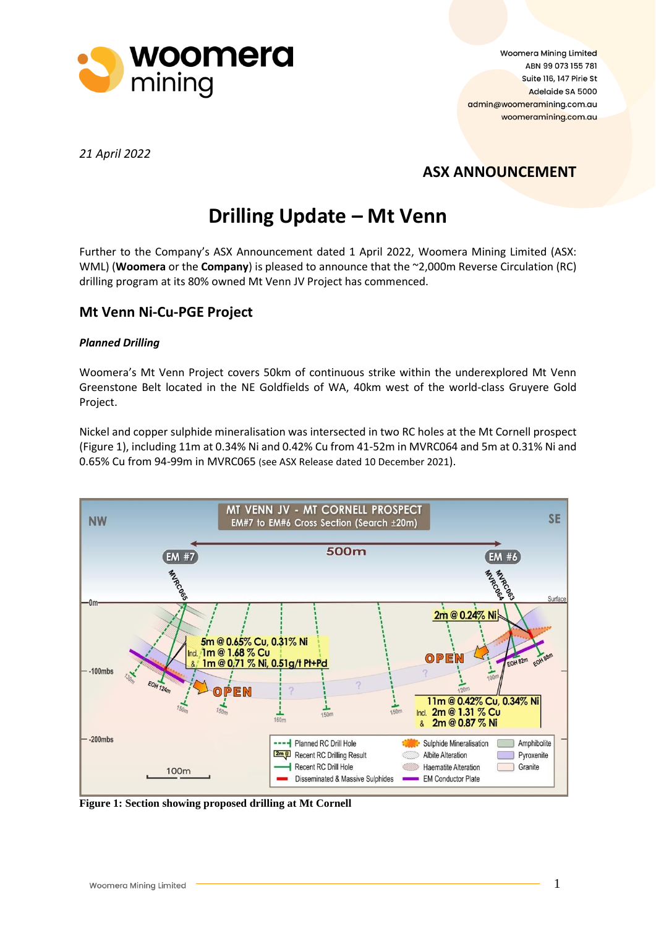

Woomera Mining Limited ABN 99 073 155 781 Suite 116, 147 Pirie St Adelaide SA 5000 admin@woomeramining.com.au woomeramining.com.au

*21 April 2022*

## **ASX ANNOUNCEMENT**

# **Drilling Update – Mt Venn**

Further to the Company's ASX Announcement dated 1 April 2022, Woomera Mining Limited (ASX: WML) (**Woomera** or the **Company**) is pleased to announce that the ~2,000m Reverse Circulation (RC) drilling program at its 80% owned Mt Venn JV Project has commenced.

### **Mt Venn Ni-Cu-PGE Project**

#### *Planned Drilling*

Woomera's Mt Venn Project covers 50km of continuous strike within the underexplored Mt Venn Greenstone Belt located in the NE Goldfields of WA, 40km west of the world-class Gruyere Gold Project.

Nickel and copper sulphide mineralisation was intersected in two RC holes at the Mt Cornell prospect (Figure 1), including 11m at 0.34% Ni and 0.42% Cu from 41-52m in MVRC064 and 5m at 0.31% Ni and 0.65% Cu from 94-99m in MVRC065 (see ASX Release dated 10 December 2021).



**Figure 1: Section showing proposed drilling at Mt Cornell**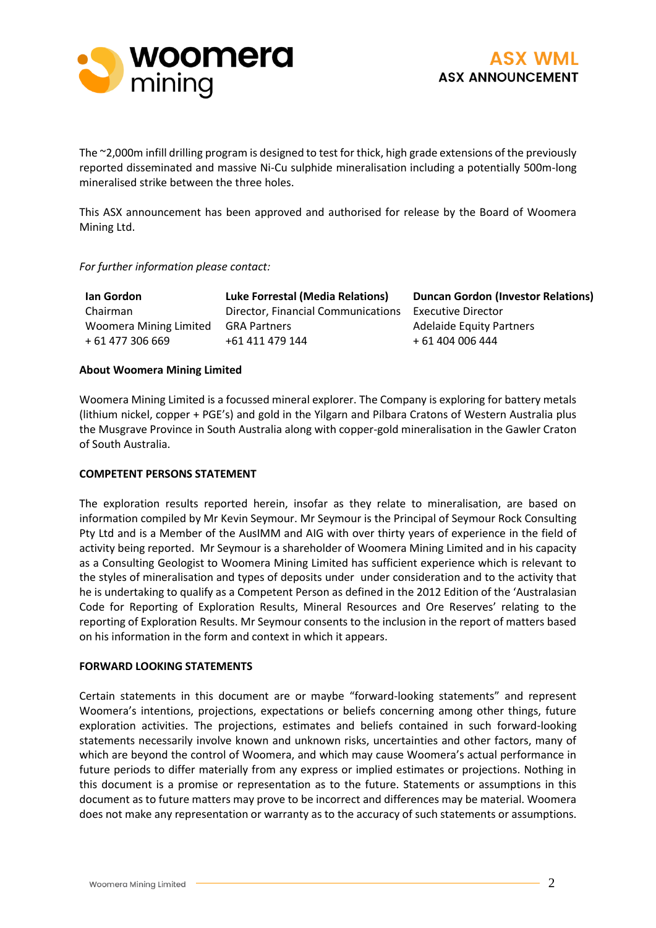



The ~2,000m infill drilling program is designed to test for thick, high grade extensions of the previously reported disseminated and massive Ni-Cu sulphide mineralisation including a potentially 500m-long mineralised strike between the three holes.

This ASX announcement has been approved and authorised for release by the Board of Woomera Mining Ltd.

#### *For further information please contact:*

| <b>Ian Gordon</b>      | <b>Luke Forrestal (Media Relations)</b> |
|------------------------|-----------------------------------------|
| Chairman               | Director, Financial Communications      |
| Woomera Mining Limited | <b>GRA Partners</b>                     |
| + 61 477 306 669       | +61 411 479 144                         |

**Duncan Gordon (Investor Relations)** Executive Director Adelaide Equity Partners + 61 404 006 444

#### **About Woomera Mining Limited**

Woomera Mining Limited is a focussed mineral explorer. The Company is exploring for battery metals (lithium nickel, copper + PGE's) and gold in the Yilgarn and Pilbara Cratons of Western Australia plus the Musgrave Province in South Australia along with copper-gold mineralisation in the Gawler Craton of South Australia.

#### **COMPETENT PERSONS STATEMENT**

The exploration results reported herein, insofar as they relate to mineralisation, are based on information compiled by Mr Kevin Seymour. Mr Seymour is the Principal of Seymour Rock Consulting Pty Ltd and is a Member of the AusIMM and AIG with over thirty years of experience in the field of activity being reported. Mr Seymour is a shareholder of Woomera Mining Limited and in his capacity as a Consulting Geologist to Woomera Mining Limited has sufficient experience which is relevant to the styles of mineralisation and types of deposits under under consideration and to the activity that he is undertaking to qualify as a Competent Person as defined in the 2012 Edition of the 'Australasian Code for Reporting of Exploration Results, Mineral Resources and Ore Reserves' relating to the reporting of Exploration Results. Mr Seymour consents to the inclusion in the report of matters based on his information in the form and context in which it appears.

#### **FORWARD LOOKING STATEMENTS**

Certain statements in this document are or maybe "forward-looking statements" and represent Woomera's intentions, projections, expectations or beliefs concerning among other things, future exploration activities. The projections, estimates and beliefs contained in such forward-looking statements necessarily involve known and unknown risks, uncertainties and other factors, many of which are beyond the control of Woomera, and which may cause Woomera's actual performance in future periods to differ materially from any express or implied estimates or projections. Nothing in this document is a promise or representation as to the future. Statements or assumptions in this document as to future matters may prove to be incorrect and differences may be material. Woomera does not make any representation or warranty as to the accuracy of such statements or assumptions.